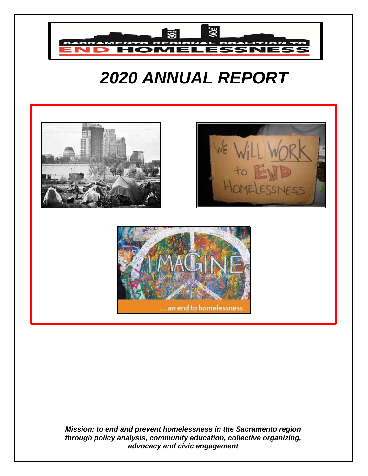

# *2020 ANNUAL REPORT*



*Mission: to end and prevent homelessness in the Sacramento region through policy analysis, community education, collective organizing, advocacy and civic engagement*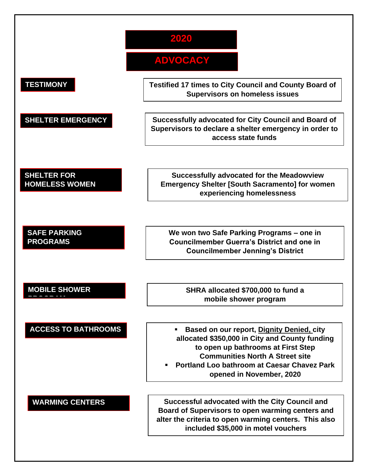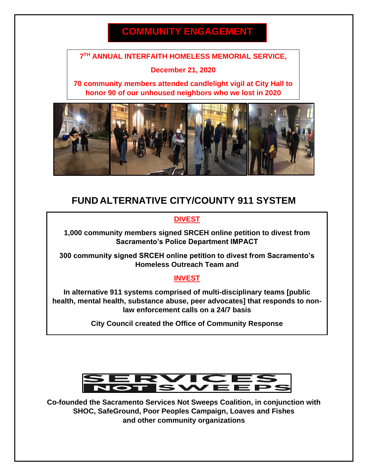# **COMMUNITY ENGAGEMENT**

#### **7 TH ANNUAL INTERFAITH HOMELESS MEMORIAL SERVICE,**

#### **December 21, 2020**

**70 community members attended candlelight vigil at City Hall to honor 90 of our unhoused neighbors who we lost in 2020**



### **FUND ALTERNATIVE CITY/COUNTY 911 SYSTEM**

#### **DIVEST**

**1,000 community members signed SRCEH online petition to divest from Sacramento's Police Department IMPACT**

**300 community signed SRCEH online petition to divest from Sacramento's Homeless Outreach Team and** 

#### **INVEST**

**In alternative 911 systems comprised of multi-disciplinary teams [public health, mental health, substance abuse, peer advocates] that responds to nonlaw enforcement calls on a 24/7 basis**

**City Council created the Office of Community Response**



**Co-founded the Sacramento Services Not Sweeps Coalition, in conjunction with SHOC, SafeGround, Poor Peoples Campaign, Loaves and Fishes and other community organizations**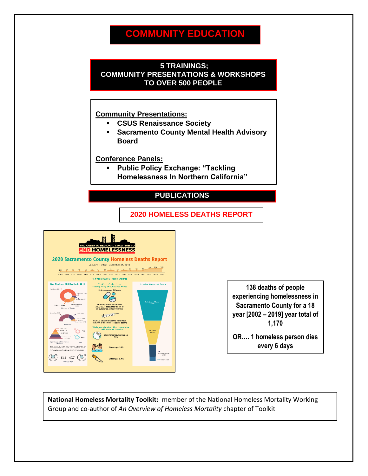## **COMMUNITY EDUCATION**

#### **5 TRAININGS; COMMUNITY PRESENTATIONS & WORKSHOPS TO OVER 500 PEOPLE**

#### **Community Presentations:**

- **CSUS Renaissance Society**
- **Sacramento County Mental Health Advisory Board**

**Conference Panels:**

▪ **Public Policy Exchange: "Tackling Homelessness In Northern California"**

### **PUBLICATIONS**

#### **2020 HOMELESS DEATHS REPORT**



**138 deaths of people experiencing homelessness in Sacramento County for a 18 year [2002 – 2019] year total of 1,170**

**OR…. 1 homeless person dies every 6 days**

**National Homeless Mortality Toolkit:** member of the National Homeless Mortality Working Group and co-author of *An Overview of Homeless Mortality* chapter of Toolkit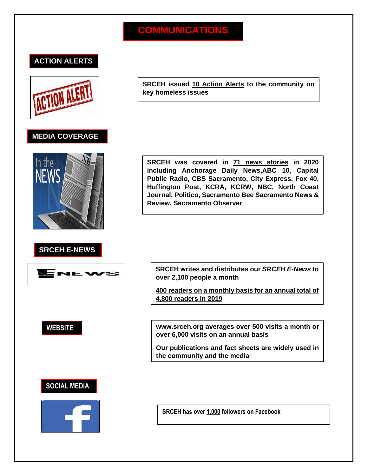# **COMMUNICATIONS**

#### **ACTION ALERTS**



#### **MEDIA COVERAGE**



#### **SRCEH E-NEWS**



**SRCEH issued 10 Action Alerts to the community on key homeless issues**

**SRCEH was covered in 71 news stories in 2020 including Anchorage Daily News,ABC 10, Capital Public Radio, CBS Sacramento, City Express, Fox 40, Huffington Post, KCRA, KCRW, NBC, North Coast Journal, Politico, Sacramento Bee Sacramento News & Review, Sacramento Observer**

**SRCEH writes and distributes our** *SRCEH E-News* **to over 2,100 people a month**

**400 readers on a monthly basis for an annual total of 4,800 readers in 2019**

**WEBSITE www.srceh.org averages over 500 visits a month or over 6,000 visits on an annual basis**

> **Our publications and fact sheets are widely used in the community and the media**

#### **SOCIAL MEDIA**



**SRCEH has over 1,000 followers on Facebook**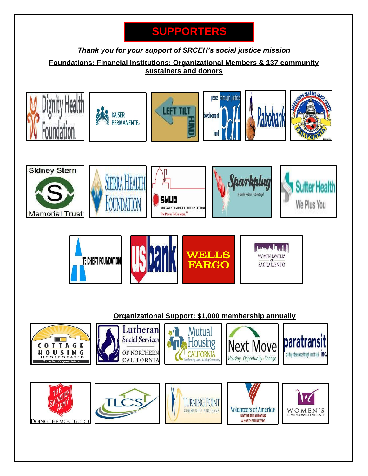# **SUPPORTERS**

#### *Thank you for your support of SRCEH's social justice mission*

**Foundations; Financial Institutions; Organizational Members & 137 community sustainers and donors**

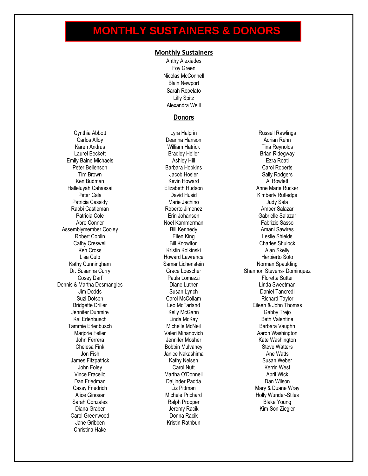# **MONTHLY SUSTAINERS & DONORS**

#### **Monthly Sustainers**

Anthy Alexiades Foy Green Nicolas McConnell Blain Newport Sarah Ropelato Lilly Spitz Alexandra Weill

#### **Donors**

Cynthia Abbott Carlos Alloy Karen Andrus Laurel Beckett Emily Baine Michaels Peter Beilenson Tim Brown Ken Budman Halleluyah Cahassai Peter Cala Patricia Cassidy Rabbi Castleman Patricia Cole Abre Conner Assemblymember Cooley Robert Coplin Cathy Creswell Ken Cross Lisa Culp Kathy Cunningham Dr. Susanna Curry Cosey Darf Dennis & Martha Desmangles Jim Dodds Suzi Dotson Bridgette Driller Jennifer Dunmire Kai Erlenbusch Tammie Erlenbusch Marjorie Feller John Ferrera Chelesa Fink Jon Fish James Fitzpatrick John Foley Vince Fracello Dan Friedman Cassy Friedrich Alice Ginosar Sarah Gonzales Diana Graber Carol Greenwood Jane Gribben Christina Hake

Lyra Halprin Deanna Hanson William Hatrick Bradley Heller Ashley Hill Barbara Hopkins Jacob Hosler Kevin Howard Elizabeth Hudson David Husid Marie Jachino Roberto Jimenez Erin Johansen Noel Kammerman Bill Kennedy Ellen King Bill Knowlton Kristin Kolkinski Howard Lawrence Samar Lichenstein Grace Loescher Paula Lomazzi Diane Luther Susan Lynch Carol McCollam Leo McFarland Kelly McGann Linda McKay Michelle McNeil Valeri Mihanovich Jennifer Mosher Bobbin Mulvaney Janice Nakashima Kathy Nelsen Carol Nutt Martha O'Donnell Daljinder Padda Liz Pittman Michele Prichard Ralph Propper Jeremy Racik Donna Racik Kristin Rathbun

Russell Rawlings Adrian Rehn Tina Reynolds Brian Ridegway Ezra Roati Carol Roberts Sally Rodgers Al Rowlett Anne Marie Rucker Kimberly Rutledge Judy Sala Amber Salazar Gabrielle Salazar Fabrizio Sasso Amani Sawires Leslie Shields Charles Shulock Alan Skelly Herbierto Soto Norman Spaulding Shannon Stevens- Dominquez Floretta Sutter Linda Sweetman Daniel Tancredi Richard Taylor Eileen & John Thomas Gabby Trejo Beth Valentine Barbara Vaughn Aaron Washington Kate Washington Steve Watters Ane Watts Susan Weber Kerrin West April Wick Dan Wilson Mary & Duane Wray Holly Wunder-Stiles Blake Young Kim-Son Ziegler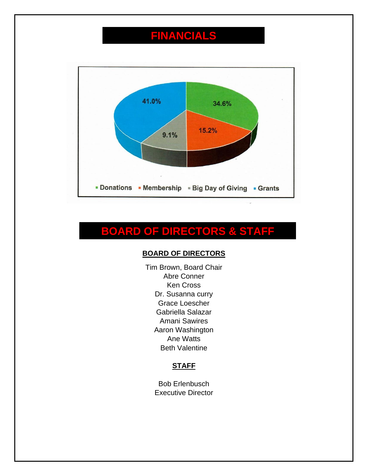# **FINANCIALS**



# **BOARD OF DIRECTORS & STAFF**

#### **BOARD OF DIRECTORS**

Tim Brown, Board Chair Abre Conner Ken Cross Dr. Susanna curry Grace Loescher Gabriella Salazar Amani Sawires Aaron Washington Ane Watts Beth Valentine

#### **STAFF**

Bob Erlenbusch Executive Director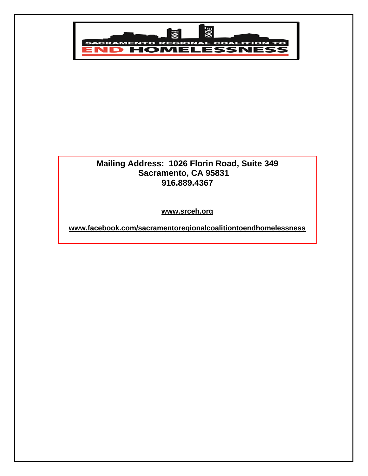

#### **Mailing Address: 1026 Florin Road, Suite 349 Sacramento, CA 95831 916.889.4367**

**[www.srceh.org](http://www.srceh.org/)**

**[www.facebook.com/sacramentoregionalcoalitiontoendhomelessness](http://www.facebook.com/sacramentoregionalcoalitiontoendhomelessness)**